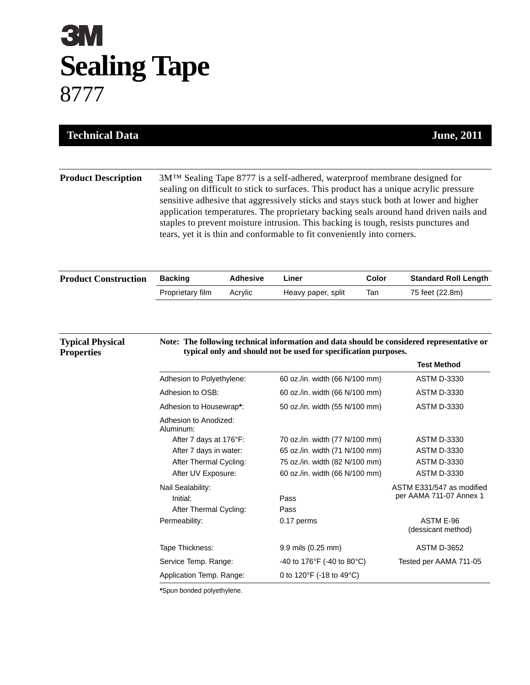## **3M Sealing Tape** 8777

| <b>Technical Data</b>                        |                                                                                                                                                                                                                                                                                                                                                                                                                                                                                                                      |                 |                                                                                                                                      |       | <b>June</b> , 2011                                                                        |  |
|----------------------------------------------|----------------------------------------------------------------------------------------------------------------------------------------------------------------------------------------------------------------------------------------------------------------------------------------------------------------------------------------------------------------------------------------------------------------------------------------------------------------------------------------------------------------------|-----------------|--------------------------------------------------------------------------------------------------------------------------------------|-------|-------------------------------------------------------------------------------------------|--|
|                                              |                                                                                                                                                                                                                                                                                                                                                                                                                                                                                                                      |                 |                                                                                                                                      |       |                                                                                           |  |
| <b>Product Description</b>                   | 3M™ Sealing Tape 8777 is a self-adhered, waterproof membrane designed for<br>sealing on difficult to stick to surfaces. This product has a unique acrylic pressure<br>sensitive adhesive that aggressively sticks and stays stuck both at lower and higher<br>application temperatures. The proprietary backing seals around hand driven nails and<br>staples to prevent moisture intrusion. This backing is tough, resists punctures and<br>tears, yet it is thin and conformable to fit conveniently into corners. |                 |                                                                                                                                      |       |                                                                                           |  |
| <b>Product Construction</b>                  | <b>Backing</b>                                                                                                                                                                                                                                                                                                                                                                                                                                                                                                       | <b>Adhesive</b> | Liner                                                                                                                                | Color | <b>Standard Roll Length</b>                                                               |  |
|                                              | Proprietary film                                                                                                                                                                                                                                                                                                                                                                                                                                                                                                     | Acrylic         | Heavy paper, split                                                                                                                   | Tan   | 75 feet (22.8m)                                                                           |  |
| <b>Typical Physical</b><br><b>Properties</b> |                                                                                                                                                                                                                                                                                                                                                                                                                                                                                                                      |                 | typical only and should not be used for specification purposes.                                                                      |       | Note: The following technical information and data should be considered representative or |  |
|                                              |                                                                                                                                                                                                                                                                                                                                                                                                                                                                                                                      |                 |                                                                                                                                      |       |                                                                                           |  |
|                                              |                                                                                                                                                                                                                                                                                                                                                                                                                                                                                                                      |                 |                                                                                                                                      |       | <b>Test Method</b><br><b>ASTM D-3330</b>                                                  |  |
|                                              | Adhesion to Polyethylene:<br>Adhesion to OSB:                                                                                                                                                                                                                                                                                                                                                                                                                                                                        |                 | 60 oz./in. width (66 N/100 mm)                                                                                                       |       | <b>ASTM D-3330</b>                                                                        |  |
|                                              | Adhesion to Housewrap*:                                                                                                                                                                                                                                                                                                                                                                                                                                                                                              |                 | 60 oz./in. width (66 N/100 mm)<br>50 oz./in. width (55 N/100 mm)                                                                     |       | <b>ASTM D-3330</b>                                                                        |  |
|                                              | Adhesion to Anodized:<br>Aluminum:<br>After 7 days at 176°F:<br>After 7 days in water:<br>After Thermal Cycling:<br>After UV Exposure:                                                                                                                                                                                                                                                                                                                                                                               |                 | 70 oz./in. width (77 N/100 mm)<br>65 oz./in. width (71 N/100 mm)<br>75 oz./in. width (82 N/100 mm)<br>60 oz./in. width (66 N/100 mm) |       | <b>ASTM D-3330</b><br><b>ASTM D-3330</b><br><b>ASTM D-3330</b><br><b>ASTM D-3330</b>      |  |
|                                              | Nail Sealability:<br>Initial:<br>After Thermal Cycling:<br>Permeability:                                                                                                                                                                                                                                                                                                                                                                                                                                             |                 | Pass<br>Pass<br>0.17 perms                                                                                                           |       | ASTM E331/547 as modified<br>per AAMA 711-07 Annex 1<br>ASTM E-96<br>(dessicant method)   |  |
|                                              |                                                                                                                                                                                                                                                                                                                                                                                                                                                                                                                      |                 |                                                                                                                                      |       |                                                                                           |  |
|                                              | Tape Thickness:<br>Service Temp. Range:                                                                                                                                                                                                                                                                                                                                                                                                                                                                              |                 | 9.9 mils (0.25 mm)<br>-40 to 176°F (-40 to 80°C)                                                                                     |       | <b>ASTM D-3652</b><br>Tested per AAMA 711-05                                              |  |

**\***Spun bonded polyethylene.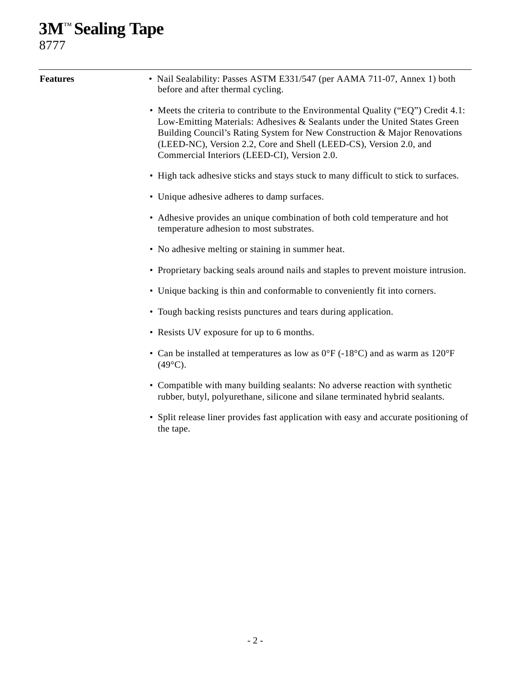## **3M**™ **Sealing Tape**

8777

| <b>Features</b> | • Nail Sealability: Passes ASTM E331/547 (per AAMA 711-07, Annex 1) both<br>before and after thermal cycling.                                                                                                                                                                                                                                                       |  |  |  |  |
|-----------------|---------------------------------------------------------------------------------------------------------------------------------------------------------------------------------------------------------------------------------------------------------------------------------------------------------------------------------------------------------------------|--|--|--|--|
|                 | • Meets the criteria to contribute to the Environmental Quality ("EQ") Credit 4.1:<br>Low-Emitting Materials: Adhesives & Sealants under the United States Green<br>Building Council's Rating System for New Construction & Major Renovations<br>(LEED-NC), Version 2.2, Core and Shell (LEED-CS), Version 2.0, and<br>Commercial Interiors (LEED-CI), Version 2.0. |  |  |  |  |
|                 | • High tack adhesive sticks and stays stuck to many difficult to stick to surfaces.                                                                                                                                                                                                                                                                                 |  |  |  |  |
|                 | • Unique adhesive adheres to damp surfaces.                                                                                                                                                                                                                                                                                                                         |  |  |  |  |
|                 | • Adhesive provides an unique combination of both cold temperature and hot<br>temperature adhesion to most substrates.                                                                                                                                                                                                                                              |  |  |  |  |
|                 | • No adhesive melting or staining in summer heat.                                                                                                                                                                                                                                                                                                                   |  |  |  |  |
|                 | • Proprietary backing seals around nails and staples to prevent moisture intrusion.                                                                                                                                                                                                                                                                                 |  |  |  |  |
|                 | • Unique backing is thin and conformable to conveniently fit into corners.                                                                                                                                                                                                                                                                                          |  |  |  |  |
|                 | • Tough backing resists punctures and tears during application.                                                                                                                                                                                                                                                                                                     |  |  |  |  |
|                 | • Resists UV exposure for up to 6 months.                                                                                                                                                                                                                                                                                                                           |  |  |  |  |
|                 | • Can be installed at temperatures as low as $0^{\circ}F(-18^{\circ}C)$ and as warm as $120^{\circ}F$<br>$(49^{\circ}C).$                                                                                                                                                                                                                                           |  |  |  |  |
|                 | • Compatible with many building sealants: No adverse reaction with synthetic<br>rubber, butyl, polyurethane, silicone and silane terminated hybrid sealants.                                                                                                                                                                                                        |  |  |  |  |
|                 | • Split release liner provides fast application with easy and accurate positioning of<br>the tape.                                                                                                                                                                                                                                                                  |  |  |  |  |
|                 |                                                                                                                                                                                                                                                                                                                                                                     |  |  |  |  |
|                 |                                                                                                                                                                                                                                                                                                                                                                     |  |  |  |  |
|                 |                                                                                                                                                                                                                                                                                                                                                                     |  |  |  |  |
|                 |                                                                                                                                                                                                                                                                                                                                                                     |  |  |  |  |
|                 |                                                                                                                                                                                                                                                                                                                                                                     |  |  |  |  |